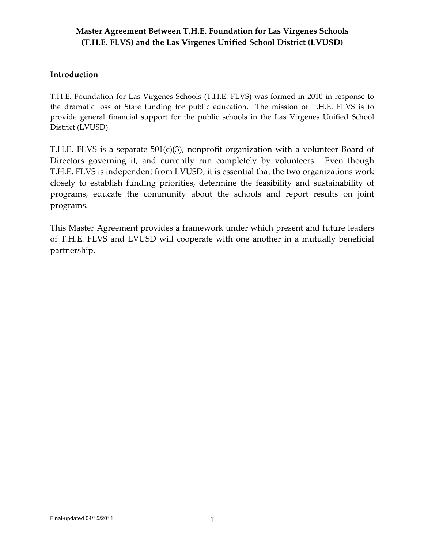#### **Introduction**

T.H.E. Foundation for Las Virgenes Schools (T.H.E. FLVS) was formed in 2010 in response to the dramatic loss of State funding for public education. The mission of T.H.E. FLVS is to provide general financial support for the public schools in the Las Virgenes Unified School District (LVUSD).

T.H.E. FLVS is a separate  $501(c)(3)$ , nonprofit organization with a volunteer Board of Directors governing it, and currently run completely by volunteers. Even though T.H.E. FLVS is independent from LVUSD, it is essential that the two organizations work closely to establish funding priorities, determine the feasibility and sustainability of programs, educate the community about the schools and report results on joint programs.

This Master Agreement provides a framework under which present and future leaders of T.H.E. FLVS and LVUSD will cooperate with one another in a mutually beneficial partnership.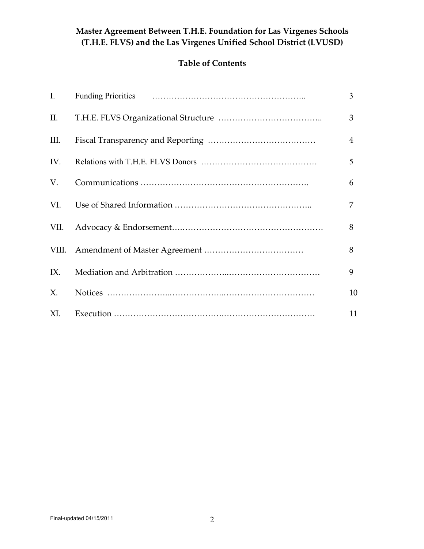# **Table of Contents**

| $\mathbf{I}$ . | 3              |
|----------------|----------------|
| II.            | 3              |
| Ш.             | $\overline{4}$ |
| IV.            | 5              |
| V.             | 6              |
|                | 7              |
| VII.           | 8              |
|                | 8              |
| IX.            | 9              |
| X.             | 10             |
| XI.            | 11             |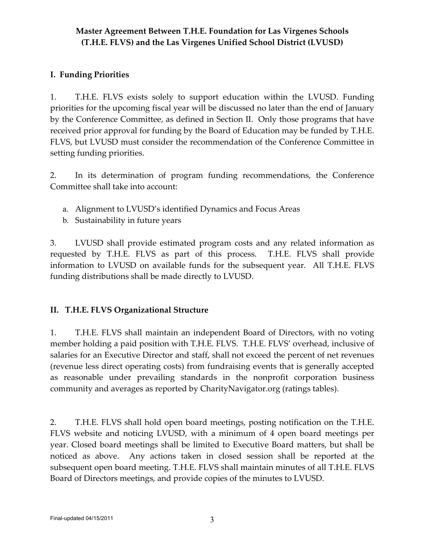### **I. Funding Priorities**

1. T.H.E. FLVS exists solely to support education within the LVUSD. Funding priorities for the upcoming fiscal year will be discussed no later than the end of January by the Conference Committee, as defined in Section II. Only those programs that have received prior approval for funding by the Board of Education may be funded by T.H.E. FLVS, but LVUSD must consider the recommendation of the Conference Committee in setting funding priorities.

2. In its determination of program funding recommendations, the Conference Committee shall take into account:

- a. Alignment to LVUSD's identified Dynamics and Focus Areas
- b. Sustainability in future years

3. LVUSD shall provide estimated program costs and any related information as requested by T.H.E. FLVS as part of this process. T.H.E. FLVS shall provide information to LVUSD on available funds for the subsequent year. All T.H.E. FLVS funding distributions shall be made directly to LVUSD.

#### **II. T.H.E. FLVS Organizational Structure**

1. T.H.E. FLVS shall maintain an independent Board of Directors, with no voting member holding a paid position with T.H.E. FLVS. T.H.E. FLVS' overhead, inclusive of salaries for an Executive Director and staff, shall not exceed the percent of net revenues (revenue less direct operating costs) from fundraising events that is generally accepted as reasonable under prevailing standards in the nonprofit corporation business community and averages as reported by CharityNavigator.org (ratings tables).

2. T.H.E. FLVS shall hold open board meetings, posting notification on the T.H.E. FLVS website and noticing LVUSD, with a minimum of 4 open board meetings per year. Closed board meetings shall be limited to Executive Board matters, but shall be noticed as above. Any actions taken in closed session shall be reported at the subsequent open board meeting. T.H.E. FLVS shall maintain minutes of all T.H.E. FLVS Board of Directors meetings, and provide copies of the minutes to LVUSD.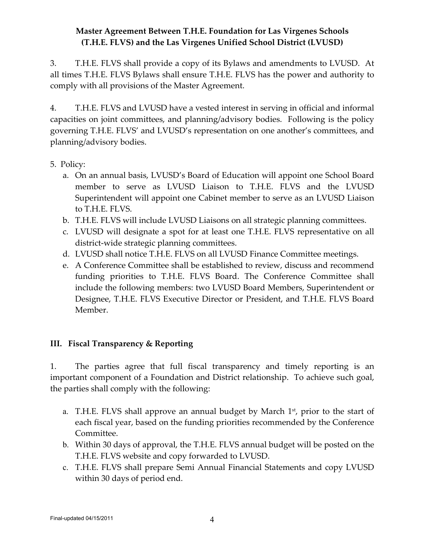3. T.H.E. FLVS shall provide a copy of its Bylaws and amendments to LVUSD. At all times T.H.E. FLVS Bylaws shall ensure T.H.E. FLVS has the power and authority to comply with all provisions of the Master Agreement.

4. T.H.E. FLVS and LVUSD have a vested interest in serving in official and informal capacities on joint committees, and planning/advisory bodies. Following is the policy governing T.H.E. FLVS' and LVUSD's representation on one another's committees, and planning/advisory bodies.

#### 5. Policy:

- a. On an annual basis, LVUSD's Board of Education will appoint one School Board member to serve as LVUSD Liaison to T.H.E. FLVS and the LVUSD Superintendent will appoint one Cabinet member to serve as an LVUSD Liaison to T.H.E. FLVS.
- b. T.H.E. FLVS will include LVUSD Liaisons on all strategic planning committees.
- c. LVUSD will designate a spot for at least one T.H.E. FLVS representative on all district-wide strategic planning committees.
- d. LVUSD shall notice T.H.E. FLVS on all LVUSD Finance Committee meetings.
- e. A Conference Committee shall be established to review, discuss and recommend funding priorities to T.H.E. FLVS Board. The Conference Committee shall include the following members: two LVUSD Board Members, Superintendent or Designee, T.H.E. FLVS Executive Director or President, and T.H.E. FLVS Board Member.

## **III. Fiscal Transparency & Reporting**

1. The parties agree that full fiscal transparency and timely reporting is an important component of a Foundation and District relationship. To achieve such goal, the parties shall comply with the following:

- a. T.H.E. FLVS shall approve an annual budget by March  $1<sup>st</sup>$ , prior to the start of each fiscal year, based on the funding priorities recommended by the Conference Committee.
- b. Within 30 days of approval, the T.H.E. FLVS annual budget will be posted on the T.H.E. FLVS website and copy forwarded to LVUSD.
- c. T.H.E. FLVS shall prepare Semi Annual Financial Statements and copy LVUSD within 30 days of period end.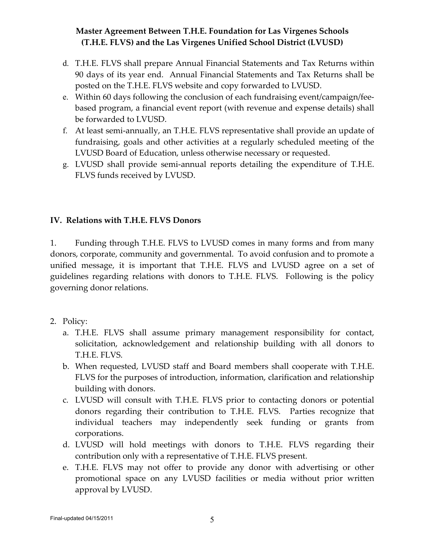- d. T.H.E. FLVS shall prepare Annual Financial Statements and Tax Returns within 90 days of its year end. Annual Financial Statements and Tax Returns shall be posted on the T.H.E. FLVS website and copy forwarded to LVUSD.
- e. Within 60 days following the conclusion of each fundraising event/campaign/feebased program, a financial event report (with revenue and expense details) shall be forwarded to LVUSD.
- f. At least semi-annually, an T.H.E. FLVS representative shall provide an update of fundraising, goals and other activities at a regularly scheduled meeting of the LVUSD Board of Education, unless otherwise necessary or requested.
- g. LVUSD shall provide semi-annual reports detailing the expenditure of T.H.E. FLVS funds received by LVUSD.

#### **IV. Relations with T.H.E. FLVS Donors**

1. Funding through T.H.E. FLVS to LVUSD comes in many forms and from many donors, corporate, community and governmental. To avoid confusion and to promote a unified message, it is important that T.H.E. FLVS and LVUSD agree on a set of guidelines regarding relations with donors to T.H.E. FLVS. Following is the policy governing donor relations.

#### 2. Policy:

- a. T.H.E. FLVS shall assume primary management responsibility for contact, solicitation, acknowledgement and relationship building with all donors to T.H.E. FLVS.
- b. When requested, LVUSD staff and Board members shall cooperate with T.H.E. FLVS for the purposes of introduction, information, clarification and relationship building with donors.
- c. LVUSD will consult with T.H.E. FLVS prior to contacting donors or potential donors regarding their contribution to T.H.E. FLVS. Parties recognize that individual teachers may independently seek funding or grants from corporations.
- d. LVUSD will hold meetings with donors to T.H.E. FLVS regarding their contribution only with a representative of T.H.E. FLVS present.
- e. T.H.E. FLVS may not offer to provide any donor with advertising or other promotional space on any LVUSD facilities or media without prior written approval by LVUSD.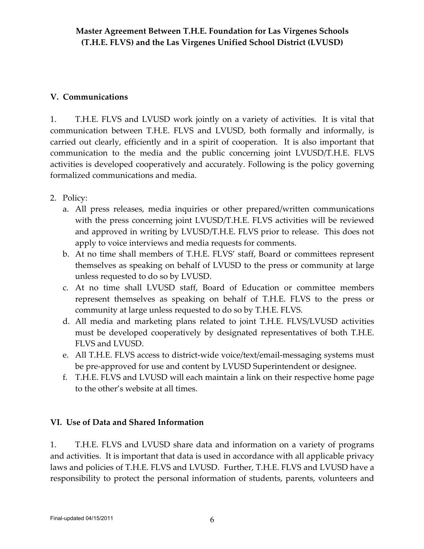# **V. Communications**

1. T.H.E. FLVS and LVUSD work jointly on a variety of activities. It is vital that communication between T.H.E. FLVS and LVUSD, both formally and informally, is carried out clearly, efficiently and in a spirit of cooperation. It is also important that communication to the media and the public concerning joint LVUSD/T.H.E. FLVS activities is developed cooperatively and accurately. Following is the policy governing formalized communications and media.

- 2. Policy:
	- a. All press releases, media inquiries or other prepared/written communications with the press concerning joint LVUSD/T.H.E. FLVS activities will be reviewed and approved in writing by LVUSD/T.H.E. FLVS prior to release. This does not apply to voice interviews and media requests for comments.
	- b. At no time shall members of T.H.E. FLVS' staff, Board or committees represent themselves as speaking on behalf of LVUSD to the press or community at large unless requested to do so by LVUSD.
	- c. At no time shall LVUSD staff, Board of Education or committee members represent themselves as speaking on behalf of T.H.E. FLVS to the press or community at large unless requested to do so by T.H.E. FLVS.
	- d. All media and marketing plans related to joint T.H.E. FLVS/LVUSD activities must be developed cooperatively by designated representatives of both T.H.E. FLVS and LVUSD.
	- e. All T.H.E. FLVS access to district-wide voice/text/email-messaging systems must be pre-approved for use and content by LVUSD Superintendent or designee.
	- f. T.H.E. FLVS and LVUSD will each maintain a link on their respective home page to the other's website at all times.

## **VI. Use of Data and Shared Information**

1. T.H.E. FLVS and LVUSD share data and information on a variety of programs and activities. It is important that data is used in accordance with all applicable privacy laws and policies of T.H.E. FLVS and LVUSD. Further, T.H.E. FLVS and LVUSD have a responsibility to protect the personal information of students, parents, volunteers and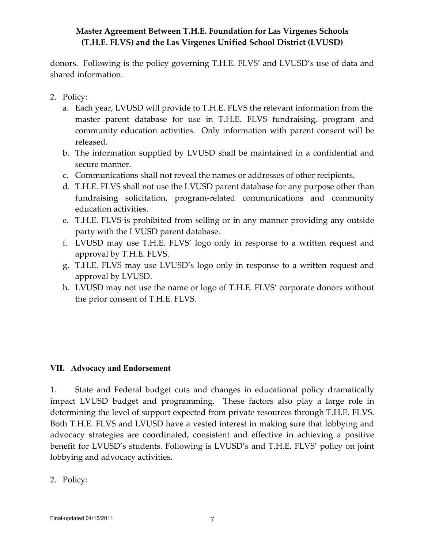donors. Following is the policy governing T.H.E. FLVS' and LVUSD's use of data and shared information.

- 2. Policy:
	- a. Each year, LVUSD will provide to T.H.E. FLVS the relevant information from the master parent database for use in T.H.E. FLVS fundraising, program and community education activities. Only information with parent consent will be released.
	- b. The information supplied by LVUSD shall be maintained in a confidential and secure manner.
	- c. Communications shall not reveal the names or addresses of other recipients.
	- d. T.H.E. FLVS shall not use the LVUSD parent database for any purpose other than fundraising solicitation, program-related communications and community education activities.
	- e. T.H.E. FLVS is prohibited from selling or in any manner providing any outside party with the LVUSD parent database.
	- f. LVUSD may use T.H.E. FLVS' logo only in response to a written request and approval by T.H.E. FLVS.
	- g. T.H.E. FLVS may use LVUSD's logo only in response to a written request and approval by LVUSD.
	- h. LVUSD may not use the name or logo of T.H.E. FLVS' corporate donors without the prior consent of T.H.E. FLVS.

#### **VII. Advocacy and Endorsement**

1. State and Federal budget cuts and changes in educational policy dramatically impact LVUSD budget and programming. These factors also play a large role in determining the level of support expected from private resources through T.H.E. FLVS. Both T.H.E. FLVS and LVUSD have a vested interest in making sure that lobbying and advocacy strategies are coordinated, consistent and effective in achieving a positive benefit for LVUSD's students. Following is LVUSD's and T.H.E. FLVS' policy on joint lobbying and advocacy activities.

2. Policy: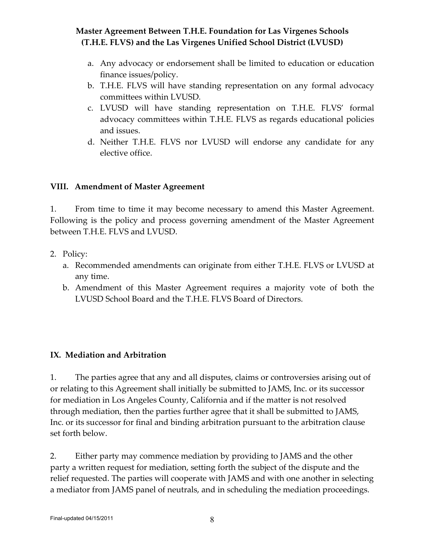- a. Any advocacy or endorsement shall be limited to education or education finance issues/policy.
- b. T.H.E. FLVS will have standing representation on any formal advocacy committees within LVUSD*.*
- c. LVUSD will have standing representation on T.H.E. FLVS' formal advocacy committees within T.H.E. FLVS as regards educational policies and issues.
- d. Neither T.H.E. FLVS nor LVUSD will endorse any candidate for any elective office.

#### **VIII. Amendment of Master Agreement**

1. From time to time it may become necessary to amend this Master Agreement. Following is the policy and process governing amendment of the Master Agreement between T.H.E. FLVS and LVUSD.

- 2. Policy:
	- a. Recommended amendments can originate from either T.H.E. FLVS or LVUSD at any time.
	- b. Amendment of this Master Agreement requires a majority vote of both the LVUSD School Board and the T.H.E. FLVS Board of Directors.

## **IX. Mediation and Arbitration**

1. The parties agree that any and all disputes, claims or controversies arising out of or relating to this Agreement shall initially be submitted to JAMS, Inc. or its successor for mediation in Los Angeles County, California and if the matter is not resolved through mediation, then the parties further agree that it shall be submitted to JAMS, Inc. or its successor for final and binding arbitration pursuant to the arbitration clause set forth below.

2. Either party may commence mediation by providing to JAMS and the other party a written request for mediation, setting forth the subject of the dispute and the relief requested. The parties will cooperate with JAMS and with one another in selecting a mediator from JAMS panel of neutrals, and in scheduling the mediation proceedings.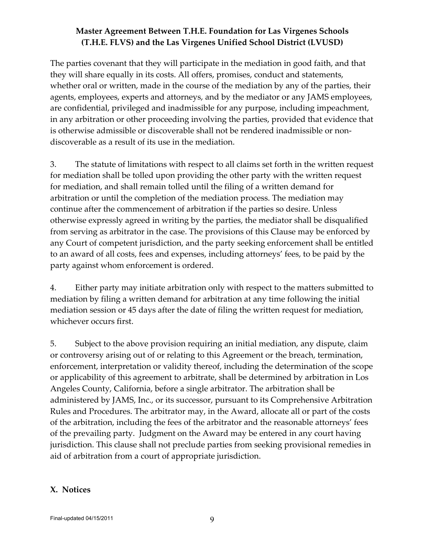The parties covenant that they will participate in the mediation in good faith, and that they will share equally in its costs. All offers, promises, conduct and statements, whether oral or written, made in the course of the mediation by any of the parties, their agents, employees, experts and attorneys, and by the mediator or any JAMS employees, are confidential, privileged and inadmissible for any purpose, including impeachment, in any arbitration or other proceeding involving the parties, provided that evidence that is otherwise admissible or discoverable shall not be rendered inadmissible or nondiscoverable as a result of its use in the mediation.

3. The statute of limitations with respect to all claims set forth in the written request for mediation shall be tolled upon providing the other party with the written request for mediation, and shall remain tolled until the filing of a written demand for arbitration or until the completion of the mediation process. The mediation may continue after the commencement of arbitration if the parties so desire. Unless otherwise expressly agreed in writing by the parties, the mediator shall be disqualified from serving as arbitrator in the case. The provisions of this Clause may be enforced by any Court of competent jurisdiction, and the party seeking enforcement shall be entitled to an award of all costs, fees and expenses, including attorneys' fees, to be paid by the party against whom enforcement is ordered.

4. Either party may initiate arbitration only with respect to the matters submitted to mediation by filing a written demand for arbitration at any time following the initial mediation session or 45 days after the date of filing the written request for mediation, whichever occurs first.

5. Subject to the above provision requiring an initial mediation, any dispute, claim or controversy arising out of or relating to this Agreement or the breach, termination, enforcement, interpretation or validity thereof, including the determination of the scope or applicability of this agreement to arbitrate, shall be determined by arbitration in Los Angeles County, California, before a single arbitrator. The arbitration shall be administered by JAMS, Inc., or its successor, pursuant to its Comprehensive Arbitration Rules and Procedures. The arbitrator may, in the Award, allocate all or part of the costs of the arbitration, including the fees of the arbitrator and the reasonable attorneys' fees of the prevailing party. Judgment on the Award may be entered in any court having jurisdiction. This clause shall not preclude parties from seeking provisional remedies in aid of arbitration from a court of appropriate jurisdiction.

#### **X. Notices**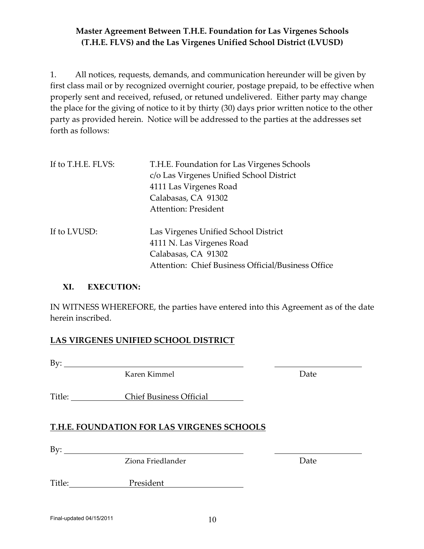1. All notices, requests, demands, and communication hereunder will be given by first class mail or by recognized overnight courier, postage prepaid, to be effective when properly sent and received, refused, or retuned undelivered. Either party may change the place for the giving of notice to it by thirty (30) days prior written notice to the other party as provided herein. Notice will be addressed to the parties at the addresses set forth as follows:

| If to T.H.E. FLVS: | T.H.E. Foundation for Las Virgenes Schools<br>c/o Las Virgenes Unified School District<br>4111 Las Virgenes Road<br>Calabasas, CA 91302<br><b>Attention: President</b> |
|--------------------|------------------------------------------------------------------------------------------------------------------------------------------------------------------------|
| If to LVUSD:       | Las Virgenes Unified School District<br>4111 N. Las Virgenes Road<br>Calabasas, CA 91302<br>Attention: Chief Business Official/Business Office                         |

#### **XI. EXECUTION:**

IN WITNESS WHEREFORE, the parties have entered into this Agreement as of the date herein inscribed.

#### **LAS VIRGENES UNIFIED SCHOOL DISTRICT**

 $By:$ 

Karen Kimmel Date

Title: Chief Business Official

## **T.H.E. FOUNDATION FOR LAS VIRGENES SCHOOLS**

By:

Ziona Friedlander **Date** 

Title: President